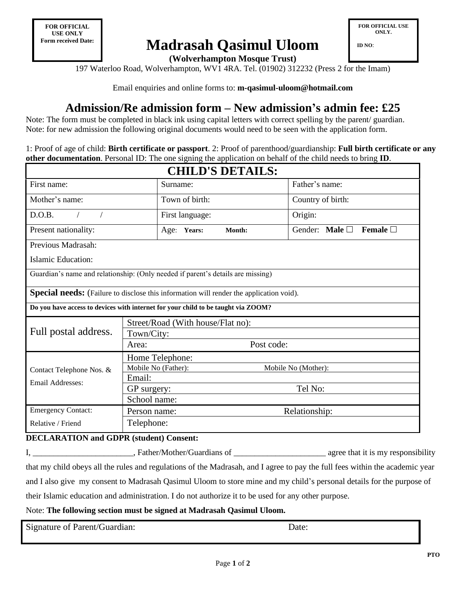# **Madrasah Qasimul Uloom**

**(Wolverhampton Mosque Trust)**

197 Waterloo Road, Wolverhampton, WV1 4RA. Tel. (01902) 312232 (Press 2 for the Imam)

Email enquiries and online forms to: **m-qasimul-uloom@hotmail.com**

## **Admission/Re admission form – New admission's admin fee: £25**

Note: The form must be completed in black ink using capital letters with correct spelling by the parent/ guardian. Note: for new admission the following original documents would need to be seen with the application form.

1: Proof of age of child: **Birth certificate or passport**. 2: Proof of parenthood/guardianship: **Full birth certificate or any other documentation**. Personal ID: The one signing the application on behalf of the child needs to bring **ID**.

| <b>CHILD'S DETAILS:</b>                                                                        |                                   |                 |        |                                            |  |
|------------------------------------------------------------------------------------------------|-----------------------------------|-----------------|--------|--------------------------------------------|--|
| First name:                                                                                    |                                   | Surname:        |        | Father's name:                             |  |
| Mother's name:                                                                                 |                                   | Town of birth:  |        | Country of birth:                          |  |
| D.O.B.<br>$\sqrt{2}$                                                                           |                                   | First language: |        | Origin:                                    |  |
| Present nationality:                                                                           | Age: Years:                       |                 | Month: | Gender: Male $\square$<br>Female $\square$ |  |
| Previous Madrasah:                                                                             |                                   |                 |        |                                            |  |
| <b>Islamic Education:</b>                                                                      |                                   |                 |        |                                            |  |
| Guardian's name and relationship: (Only needed if parent's details are missing)                |                                   |                 |        |                                            |  |
| <b>Special needs:</b> (Failure to disclose this information will render the application void). |                                   |                 |        |                                            |  |
| Do you have access to devices with internet for your child to be taught via ZOOM?              |                                   |                 |        |                                            |  |
| Full postal address.                                                                           | Street/Road (With house/Flat no): |                 |        |                                            |  |
|                                                                                                | Town/City:                        |                 |        |                                            |  |
|                                                                                                | Area:                             | Post code:      |        |                                            |  |
| Contact Telephone Nos. &<br>Email Addresses:                                                   | Home Telephone:                   |                 |        |                                            |  |
|                                                                                                | Mobile No (Father):               |                 |        | Mobile No (Mother):                        |  |
|                                                                                                | Email:                            |                 |        |                                            |  |
|                                                                                                | GP surgery:                       |                 |        | Tel No:                                    |  |
|                                                                                                | School name:                      |                 |        |                                            |  |
| <b>Emergency Contact:</b>                                                                      | Relationship:<br>Person name:     |                 |        |                                            |  |
| Relative / Friend                                                                              | Telephone:                        |                 |        |                                            |  |
| DECLARATION and CDDD (student) Consent:                                                        |                                   |                 |        |                                            |  |

### **DECLARATION and GDPR (student) Consent:**

I, \_\_\_\_\_\_\_\_\_\_\_\_\_\_\_\_\_\_\_\_\_\_\_\_, Father/Mother/Guardians of \_\_\_\_\_\_\_\_\_\_\_\_\_\_\_\_\_\_\_\_\_\_ agree that it is my responsibility that my child obeys all the rules and regulations of the Madrasah, and I agree to pay the full fees within the academic year and I also give my consent to Madrasah Qasimul Uloom to store mine and my child's personal details for the purpose of their Islamic education and administration. I do not authorize it to be used for any other purpose.

Note: **The following section must be signed at Madrasah Qasimul Uloom.**

| Signature of Parent/Guardian: | Date: |
|-------------------------------|-------|
|                               |       |